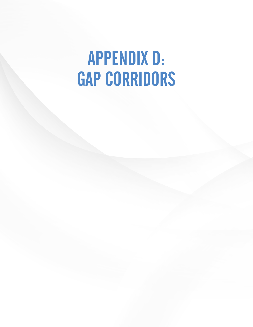# APPENDIX D: GAP CORRIDORS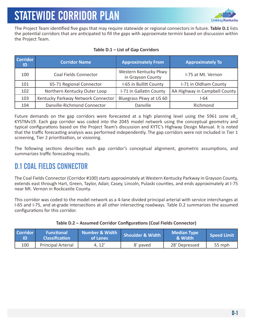

The Project Team identified five gaps that may require statewide or regional connectors in future. **Table D.1** lists the potential corridors that are anticipated to fill the gaps with approximate termini based on discussion within the Project Team.

| <b>Corridor</b><br>ID | <b>Corridor Name</b>               | <b>Approximately From</b>                  | <b>Approximately To</b>       |
|-----------------------|------------------------------------|--------------------------------------------|-------------------------------|
| 100                   | Coal Fields Connector              | Western Kentucky Pkwy<br>in Grayson County | I-75 at Mt. Vernon            |
| 101                   | 65-71 Regional Connector           | I-65 in Bullitt County                     | I-71 in Oldham County         |
| 102                   | Northern Kentucky Outer Loop       | I-71 in Gallatin County                    | AA Highway in Campbell County |
| 103                   | Kentucky Parkway Network Connector | Bluegrass Pkwy at US 60                    | $1-64$                        |
| 104                   | Danville-Richmond Connector        | Danville                                   | Richmond                      |

### **Table D.1 – List of Gap Corridors**

Future demands on the gap corridors were forecasted at a high planning level using the 5961 zone v8\_ KYSTMv19. Each gap corridor was coded into the 2045 model network using the conceptual geometry and typical configurations based on the Project Team's discussion and KYTC's Highway Design Manual. It is noted that the traffic forecasting analysis was performed independently. The gap corridors were not included in Tier 1 screening, Tier 2 prioritization, or visioning.

The following sections describes each gap corridor's conceptual alignment, geometric assumptions, and summarizes traffic forecasting results.

### D.1 COAL FIELDS CONNECTOR

The Coal Fields Connector (Corridor #100) starts approximately at Western Kentucky Parkway in Grayson County, extends east through Hart, Green, Taylor, Adair, Casey, Lincoln, Pulaski counties, and ends approximately at I-75 near Mt. Vernon in Rockcastle County.

This corridor was coded to the model network as a 4-lane divided principal arterial with service interchanges at I-65 and I-75, and at-grade intersections at all other intersecting roadways. Table D.2 summarizes the assumed configurations for this corridor.

| Corridor | <b>Functional</b><br><b>Classification</b> | Number & Width<br>of Lanes | <b>Shoulder &amp; Width</b> | <b>Median Type</b><br>ا & Width | Speed Limit |
|----------|--------------------------------------------|----------------------------|-----------------------------|---------------------------------|-------------|
| 100      | <b>Principal Arterial</b>                  | 4, 12'                     | 8' paved                    | 28' Depressed                   | 55 mph      |

### **Table D.2 – Assumed Corridor Configurations (Coal Fields Connector)**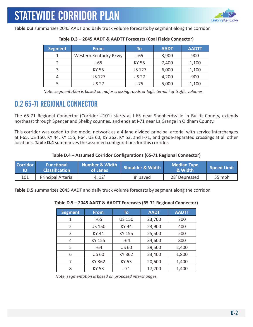

**Table D.3** summarizes 2045 AADT and daily truck volume forecasts by segment along the corridor.

| <b>Segment</b> | <b>From</b>           | To            | <b>AADT</b> | <b>AADTT</b> |
|----------------|-----------------------|---------------|-------------|--------------|
|                | Western Kentucky Pkwy | $I-65$        | 3,900       | 900          |
|                | I-65                  | <b>KY 55</b>  | 7,400       | 1,100        |
|                | KY 55                 | <b>US 127</b> | 6,000       | 1,100        |
|                | <b>US 127</b>         | <b>US 27</b>  | 4,200       | 900          |
|                | <b>US 27</b>          | $1 - 75$      | 5,000       | 1,100        |

#### **Table D.3 – 2045 AADT & AADTT Forecasts (Coal Fields Connector)**

 *Note: segmentation is based on major crossing roads or logic termini of traffic volumes.*

### D.2 65-71 REGIONAL CONNECTOR

The 65-71 Regional Connector (Corridor #101) starts at I-65 near Shepherdsville in Bullitt County, extends northeast through Spencer and Shelby counties, and ends at I-71 near La Grange in Oldham County.

This corridor was coded to the model network as a 4-lane divided principal arterial with service interchanges at I-65, US 150, KY 44, KY 155, I-64, US 60, KY 362, KY 53, and I-71, and grade-separated crossings at all other locations. **Table D.4** summarizes the assumed configurations for this corridor.

#### **Table D.4 – Assumed Corridor Configurations (65-71 Regional Connector)**

| Corridor | <b>Functional</b><br><b>Classification</b> | Number & Width<br>of Lanes | <b>Shoulder &amp; Width</b> | <b>Median Type</b><br>& Width | Speed Limit |
|----------|--------------------------------------------|----------------------------|-----------------------------|-------------------------------|-------------|
| 101      | <b>Principal Arterial</b>                  | 4, 12'                     | 8' paved                    | 28' Depressed                 | 55 mph      |

**Table D.5** summarizes 2045 AADT and daily truck volume forecasts by segment along the corridor.

#### **Table D.5 – 2045 AADT & AADTT Forecasts (65-71 Regional Connector)**

| <b>Segment</b> | <b>From</b>   | To            | <b>AADT</b> | <b>AADTT</b> |
|----------------|---------------|---------------|-------------|--------------|
|                | $1 - 65$      | <b>US 150</b> | 23,700      | 700          |
| $\overline{2}$ | <b>US 150</b> | <b>KY 44</b>  | 23,900      | 400          |
| 3              | <b>KY 44</b>  | KY 155        | 25,500      | 500          |
| 4              | KY 155        | $I-64$        | 34,600      | 800          |
| 5              | $I - 64$      | <b>US 60</b>  | 29,500      | 2,400        |
| 6              | <b>US 60</b>  | KY 362        | 23,400      | 1,800        |
|                | KY 362        | <b>KY 53</b>  | 20,600      | 1,400        |
| 8              | <b>KY 53</b>  | $1 - 71$      | 17,200      | 1,400        |

 *Note: segmentation is based on proposed interchanges.*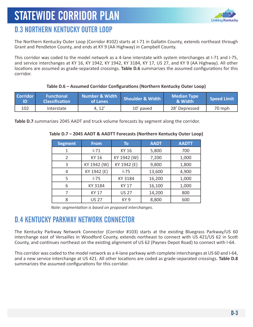

### D.3 NORTHERN KENTUCKY OUTER LOOP

The Northern Kentucky Outer Loop (Corridor #102) starts at I-71 in Gallatin County, extends northeast through Grant and Pendleton County, and ends at KY 9 (AA Highway) in Campbell County.

This corridor was coded to the model network as a 4-lane interstate with system interchanges at I-71 and I-75, and service interchanges at KY 16, KY 1942, KY 1942, KY 3184, KY 17, US 27, and KY 9 (AA Highway). All other locations are assumed as grade-separated crossings. **Table D.6** summarizes the assumed configurations for this corridor.

### **Table D.6 – Assumed Corridor Configurations (Northern Kentucky Outer Loop)**

| Corridor | <b>Functional</b><br><b>Classification</b> | Number & Width<br>of Lanes | <b>Shoulder &amp; Width</b> | <b>Median Type</b><br>& Width | <b>Speed Limit</b> |
|----------|--------------------------------------------|----------------------------|-----------------------------|-------------------------------|--------------------|
| 102      | Interstate                                 | 4.12'                      | 10' paved                   | 28' Depressed                 | 70 mph             |

**Table D.7** summarizes 2045 AADT and truck volume forecasts by segment along the corridor.

| <b>Segment</b> | <b>From</b>  | To              | <b>AADT</b> | <b>AADTT</b> |
|----------------|--------------|-----------------|-------------|--------------|
|                | $1 - 71$     | <b>KY 16</b>    | 5,800       | 700          |
| 2              | KY 16        | KY 1942 (W)     | 7,200       | 1,000        |
| 3              | KY 1942 (W)  | KY 1942 (E)     | 9,800       | 1,800        |
| 4              | KY 1942 (E)  | $I - 75$        | 13,600      | 4,900        |
| 5              | $1-75$       | KY 3184         | 16,200      | 1,000        |
| 6              | KY 3184      | <b>KY 17</b>    | 16,100      | 1,000        |
|                | KY 17        | <b>US 27</b>    | 14,200      | 800          |
| 8              | <b>US 27</b> | KY <sub>9</sub> | 8,800       | 600          |

### **Table D.7 – 2045 AADT & AADTT Forecasts (Northern Kentucky Outer Loop)**

*Note: segmentation is based on proposed interchanges.*

### D.4 KENTUCKY PARKWAY NETWORK CONNECTOR

The Kentucky Parkway Network Connector (Corridor #103) starts at the existing Bluegrass Parkway/US 60 interchange east of Versailles in Woodford County, extends northeast to connect with US 421/US 62 in Scott County, and continues northeast on the existing alignment of US 62 (Paynes Depot Road) to connect with I-64.

This corridor was coded to the model network as a 4-lane parkway with complete interchanges at US 60 and I-64, and a new service interchange at US 421. All other locations are coded as grade-separated crossings. **Table D.8**  summarizes the assumed configurations for this corridor.